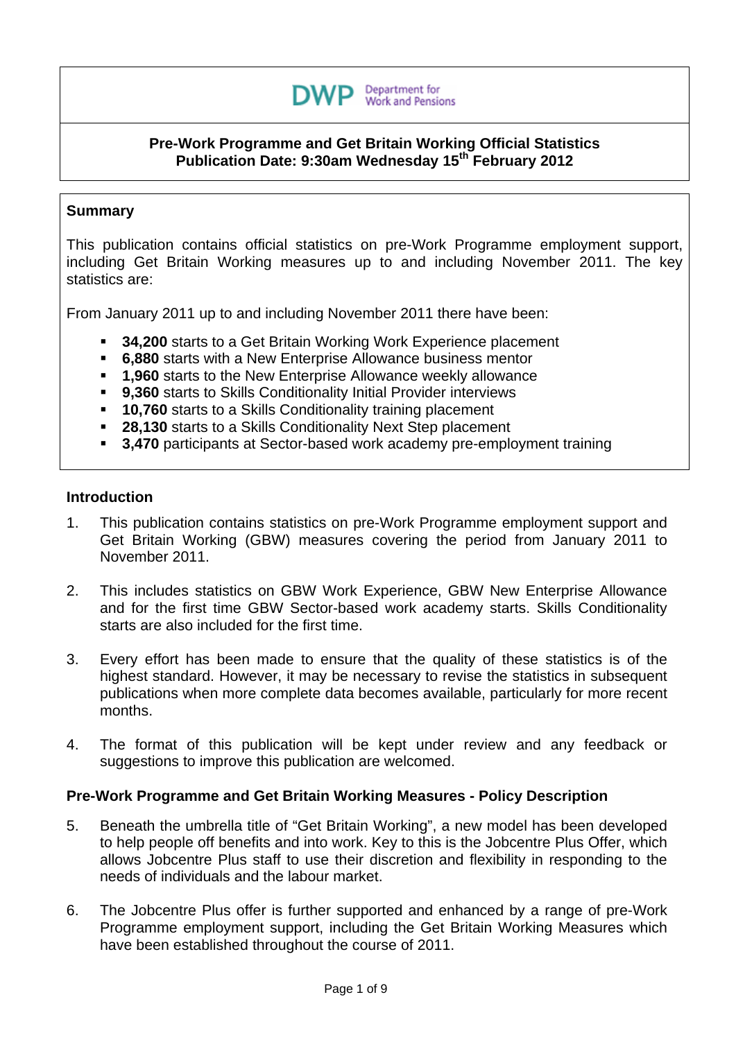

#### **Pre-Work Programme and Get Britain Working Official Statistics Publication Date: 9:30am Wednesday 15th February 2012**

## **Summary**

This publication contains official statistics on pre-Work Programme employment support, including Get Britain Working measures up to and including November 2011. The key statistics are:

From January 2011 up to and including November 2011 there have been:

- **34,200** starts to a Get Britain Working Work Experience placement
- **6,880** starts with a New Enterprise Allowance business mentor
- **1,960** starts to the New Enterprise Allowance weekly allowance
- **9,360** starts to Skills Conditionality Initial Provider interviews
- **10,760** starts to a Skills Conditionality training placement
- **28,130** starts to a Skills Conditionality Next Step placement
- **3,470** participants at Sector-based work academy pre-employment training

#### **Introduction**

- 1. This publication contains statistics on pre-Work Programme employment support and Get Britain Working (GBW) measures covering the period from January 2011 to November 2011.
- 2. This includes statistics on GBW Work Experience, GBW New Enterprise Allowance and for the first time GBW Sector-based work academy starts. Skills Conditionality starts are also included for the first time.
- 3. Every effort has been made to ensure that the quality of these statistics is of the highest standard. However, it may be necessary to revise the statistics in subsequent publications when more complete data becomes available, particularly for more recent months.
- 4. The format of this publication will be kept under review and any feedback or suggestions to improve this publication are welcomed.

## **Pre-Work Programme and Get Britain Working Measures - Policy Description**

- 5. Beneath the umbrella title of "Get Britain Working", a new model has been developed to help people off benefits and into work. Key to this is the Jobcentre Plus Offer, which allows Jobcentre Plus staff to use their discretion and flexibility in responding to the needs of individuals and the labour market.
- 6. The Jobcentre Plus offer is further supported and enhanced by a range of pre-Work Programme employment support, including the Get Britain Working Measures which have been established throughout the course of 2011.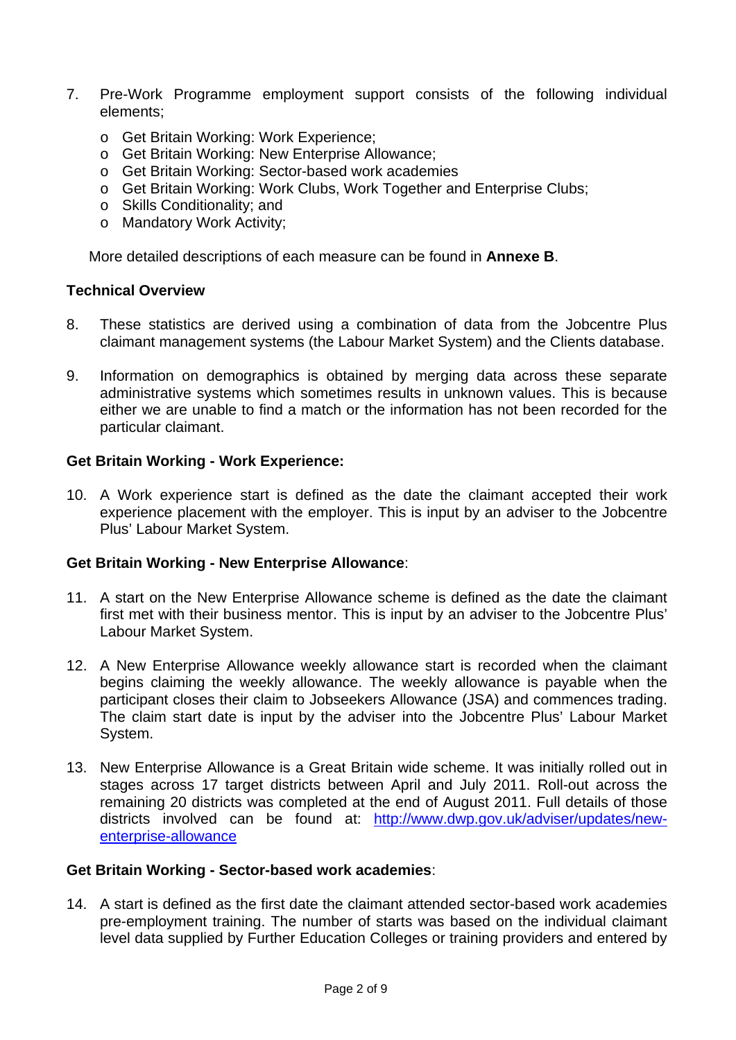- 7. Pre-Work Programme employment support consists of the following individual elements;
	- o Get Britain Working: Work Experience;
	- o Get Britain Working: New Enterprise Allowance;
	- o Get Britain Working: Sector-based work academies
	- o Get Britain Working: Work Clubs, Work Together and Enterprise Clubs;
	- o Skills Conditionality; and
	- o Mandatory Work Activity;

More detailed descriptions of each measure can be found in **Annexe B**.

## **Technical Overview**

- 8. These statistics are derived using a combination of data from the Jobcentre Plus claimant management systems (the Labour Market System) and the Clients database.
- 9. Information on demographics is obtained by merging data across these separate administrative systems which sometimes results in unknown values. This is because either we are unable to find a match or the information has not been recorded for the particular claimant.

## **Get Britain Working - Work Experience:**

10. A Work experience start is defined as the date the claimant accepted their work experience placement with the employer. This is input by an adviser to the Jobcentre Plus' Labour Market System.

## **Get Britain Working - New Enterprise Allowance**:

- 11. A start on the New Enterprise Allowance scheme is defined as the date the claimant first met with their business mentor. This is input by an adviser to the Jobcentre Plus' Labour Market System.
- 12. A New Enterprise Allowance weekly allowance start is recorded when the claimant begins claiming the weekly allowance. The weekly allowance is payable when the participant closes their claim to Jobseekers Allowance (JSA) and commences trading. The claim start date is input by the adviser into the Jobcentre Plus' Labour Market System.
- 13. New Enterprise Allowance is a Great Britain wide scheme. It was initially rolled out in stages across 17 target districts between April and July 2011. Roll-out across the remaining 20 districts was completed at the end of August 2011. Full details of those districts involved can be found at: http://www.dwp.gov.uk/adviser/updates/newenterprise-allowance

#### **Get Britain Working - Sector-based work academies**:

14. A start is defined as the first date the claimant attended sector-based work academies pre-employment training. The number of starts was based on the individual claimant level data supplied by Further Education Colleges or training providers and entered by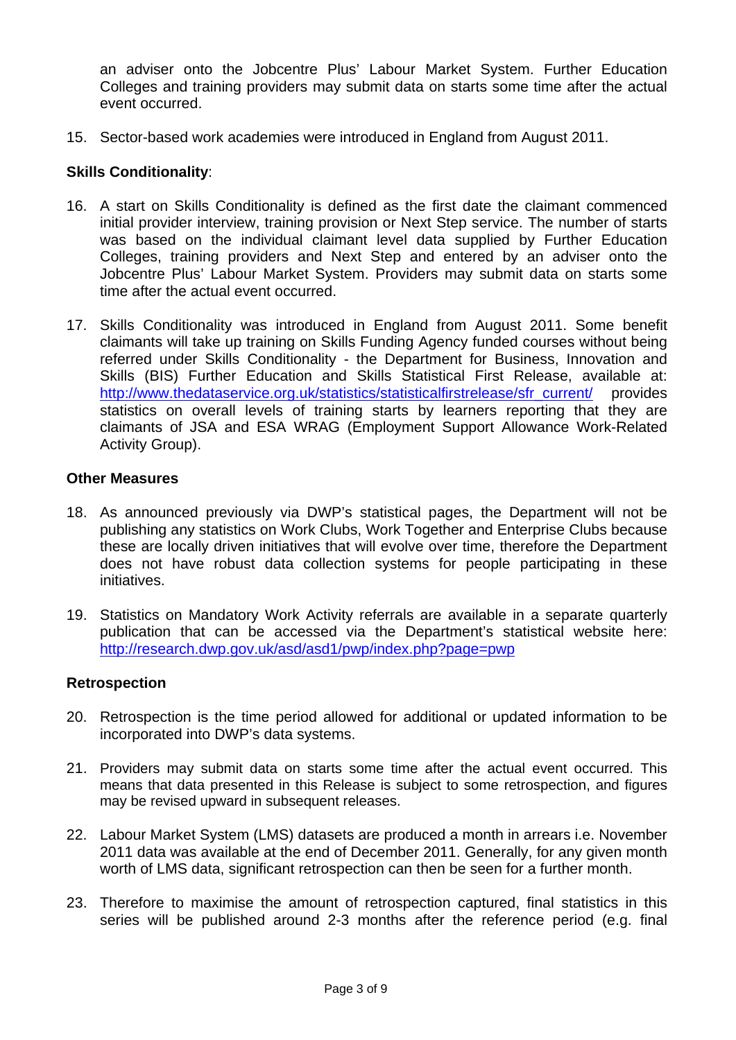an adviser onto the Jobcentre Plus' Labour Market System. Further Education Colleges and training providers may submit data on starts some time after the actual event occurred.

15. Sector-based work academies were introduced in England from August 2011.

# **Skills Conditionality**:

- 16. A start on Skills Conditionality is defined as the first date the claimant commenced initial provider interview, training provision or Next Step service. The number of starts was based on the individual claimant level data supplied by Further Education Colleges, training providers and Next Step and entered by an adviser onto the Jobcentre Plus' Labour Market System. Providers may submit data on starts some time after the actual event occurred.
- 17. Skills Conditionality was introduced in England from August 2011. Some benefit claimants will take up training on Skills Funding Agency funded courses without being referred under Skills Conditionality - the Department for Business, Innovation and Skills (BIS) Further Education and Skills Statistical First Release, available at: http://www.thedataservice.org.uk/statistics/statisticalfirstrelease/sfr\_current/ provides statistics on overall levels of training starts by learners reporting that they are claimants of JSA and ESA WRAG (Employment Support Allowance Work-Related Activity Group).

#### **Other Measures**

- 18. As announced previously via DWP's statistical pages, the Department will not be publishing any statistics on Work Clubs, Work Together and Enterprise Clubs because these are locally driven initiatives that will evolve over time, therefore the Department does not have robust data collection systems for people participating in these initiatives.
- 19. Statistics on Mandatory Work Activity referrals are available in a separate quarterly publication that can be accessed via the Department's statistical website here: http://research.dwp.gov.uk/asd/asd1/pwp/index.php?page=pwp

## **Retrospection**

- 20. Retrospection is the time period allowed for additional or updated information to be incorporated into DWP's data systems.
- 21. Providers may submit data on starts some time after the actual event occurred. This means that data presented in this Release is subject to some retrospection, and figures may be revised upward in subsequent releases.
- 22. Labour Market System (LMS) datasets are produced a month in arrears i.e. November 2011 data was available at the end of December 2011. Generally, for any given month worth of LMS data, significant retrospection can then be seen for a further month.
- 23. Therefore to maximise the amount of retrospection captured, final statistics in this series will be published around 2-3 months after the reference period (e.g. final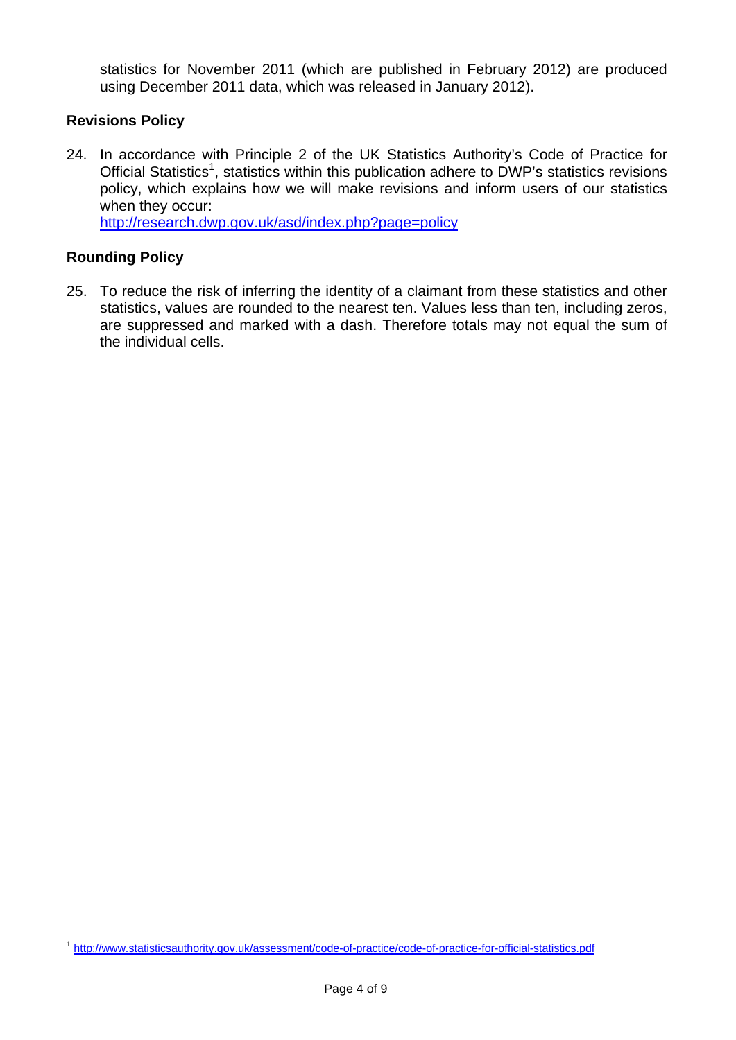statistics for November 2011 (which are published in February 2012) are produced using December 2011 data, which was released in January 2012).

# **Revisions Policy**

24. In accordance with Principle 2 of the UK Statistics Authority's Code of Practice for Official Statistics<sup>1</sup>, statistics within this publication adhere to DWP's statistics revisions policy, which explains how we will make revisions and inform users of our statistics when they occur:

http://research.dwp.gov.uk/asd/index.php?page=policy

# **Rounding Policy**

 $\overline{a}$ 

25. To reduce the risk of inferring the identity of a claimant from these statistics and other statistics, values are rounded to the nearest ten. Values less than ten, including zeros, are suppressed and marked with a dash. Therefore totals may not equal the sum of the individual cells.

<sup>&</sup>lt;sup>1</sup> http://www.statisticsauthority.gov.uk/assessment/code-of-practice/code-of-practice-for-official-statistics.pdf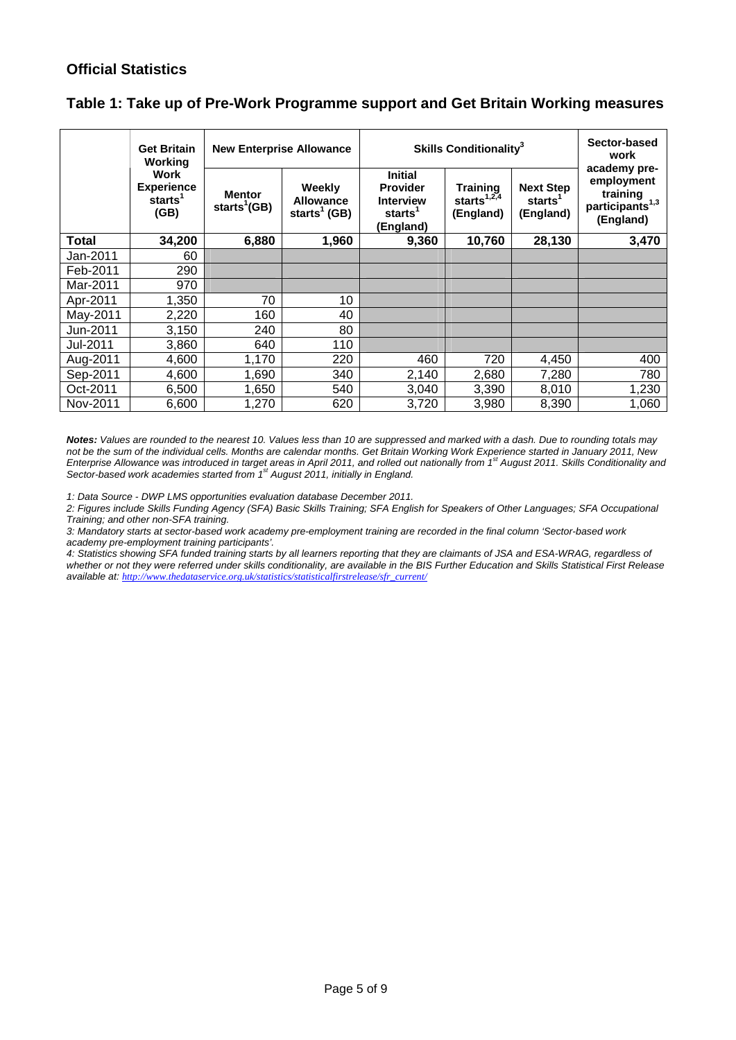# **Official Statistics**

|  |  | Table 1: Take up of Pre-Work Programme support and Get Britain Working measures |
|--|--|---------------------------------------------------------------------------------|
|--|--|---------------------------------------------------------------------------------|

|          | <b>Get Britain</b><br>Working                            | <b>New Enterprise Allowance</b>           |                                                        | Skills Conditionality <sup>3</sup>                                                        | Sector-based<br>work<br>academy pre-                          |                                                      |                                                                    |
|----------|----------------------------------------------------------|-------------------------------------------|--------------------------------------------------------|-------------------------------------------------------------------------------------------|---------------------------------------------------------------|------------------------------------------------------|--------------------------------------------------------------------|
|          | Work<br><b>Experience</b><br>starts <sup>1</sup><br>(GB) | <b>Mentor</b><br>starts <sup>1</sup> (GB) | Weekly<br><b>Allowance</b><br>starts <sup>1</sup> (GB) | <b>Initial</b><br><b>Provider</b><br><b>Interview</b><br>starts <sup>1</sup><br>(England) | Training<br>starts <sup><math>1,2,4</math></sup><br>(England) | <b>Next Step</b><br>starts <sup>1</sup><br>(England) | employment<br>training<br>participants <sup>1,3</sup><br>(England) |
| Total    | 34,200                                                   | 6,880                                     | 1,960                                                  | 9,360                                                                                     | 10,760                                                        | 28,130                                               | 3,470                                                              |
| Jan-2011 | 60                                                       |                                           |                                                        |                                                                                           |                                                               |                                                      |                                                                    |
| Feb-2011 | 290                                                      |                                           |                                                        |                                                                                           |                                                               |                                                      |                                                                    |
| Mar-2011 | 970                                                      |                                           |                                                        |                                                                                           |                                                               |                                                      |                                                                    |
| Apr-2011 | 1,350                                                    | 70                                        | 10                                                     |                                                                                           |                                                               |                                                      |                                                                    |
| May-2011 | 2,220                                                    | 160                                       | 40                                                     |                                                                                           |                                                               |                                                      |                                                                    |
| Jun-2011 | 3,150                                                    | 240                                       | 80                                                     |                                                                                           |                                                               |                                                      |                                                                    |
| Jul-2011 | 3,860                                                    | 640                                       | 110                                                    |                                                                                           |                                                               |                                                      |                                                                    |
| Aug-2011 | 4.600                                                    | 1,170                                     | 220                                                    | 460                                                                                       | 720                                                           | 4,450                                                | 400                                                                |
| Sep-2011 | 4,600                                                    | 1,690                                     | 340                                                    | 2,140                                                                                     | 2,680                                                         | 7,280                                                | 780                                                                |
| Oct-2011 | 6,500                                                    | 1,650                                     | 540                                                    | 3,040                                                                                     | 3,390                                                         | 8,010                                                | 1,230                                                              |
| Nov-2011 | 6,600                                                    | 1,270                                     | 620                                                    | 3,720                                                                                     | 3,980                                                         | 8,390                                                | 1,060                                                              |

*Notes: Values are rounded to the nearest 10. Values less than 10 are suppressed and marked with a dash. Due to rounding totals may not be the sum of the individual cells. Months are calendar months. Get Britain Working Work Experience started in January 2011, New Enterprise Allowance was introduced in target areas in April 2011, and rolled out nationally from 1st August 2011. Skills Conditionality and Sector-based work academies started from 1st August 2011, initially in England.* 

*1: Data Source - DWP LMS opportunities evaluation database December 2011.* 

*2: Figures include Skills Funding Agency (SFA) Basic Skills Training; SFA English for Speakers of Other Languages; SFA Occupational Training; and other non-SFA training.* 

*3: Mandatory starts at sector-based work academy pre-employment training are recorded in the final column 'Sector-based work academy pre-employment training participants'.* 

*4: Statistics showing SFA funded training starts by all learners reporting that they are claimants of JSA and ESA-WRAG, regardless of whether or not they were referred under skills conditionality, are available in the BIS Further Education and Skills Statistical First Release available at: http://www.thedataservice.org.uk/statistics/statisticalfirstrelease/sfr\_current/*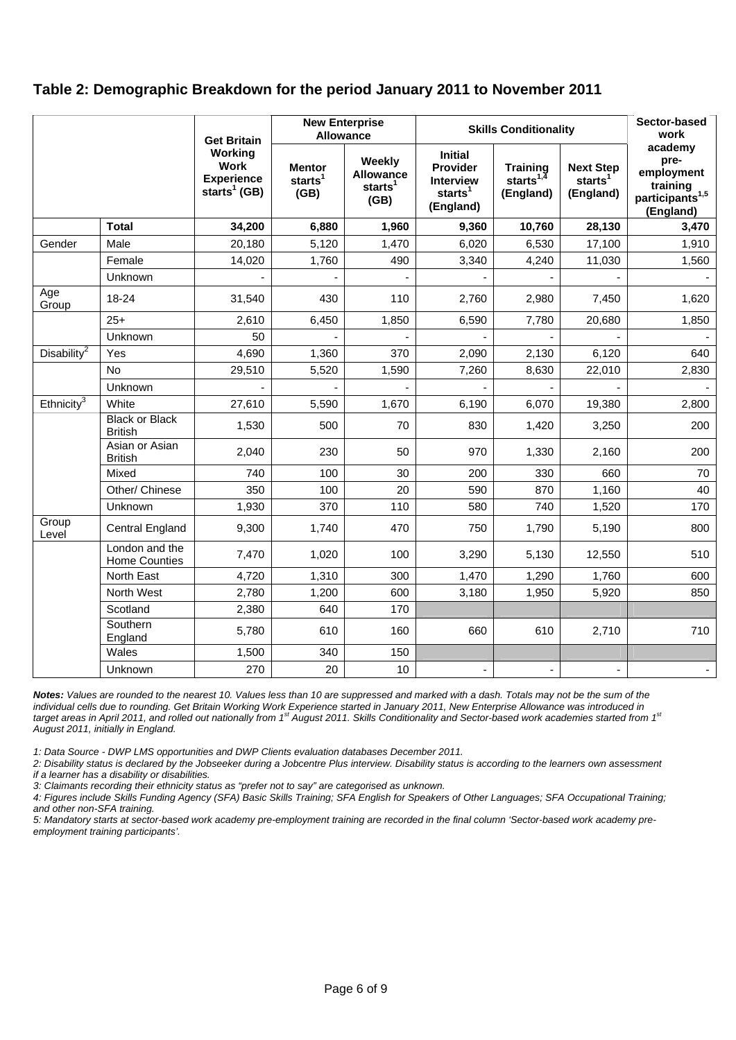# **Table 2: Demographic Breakdown for the period January 2011 to November 2011**

|                          |                                         | <b>Get Britain</b>                                                      | <b>New Enterprise</b><br><b>Allowance</b>    |                                                           | <b>Skills Conditionality</b>                                                              |                                                 |                                                      | Sector-based<br>work                                                                  |
|--------------------------|-----------------------------------------|-------------------------------------------------------------------------|----------------------------------------------|-----------------------------------------------------------|-------------------------------------------------------------------------------------------|-------------------------------------------------|------------------------------------------------------|---------------------------------------------------------------------------------------|
|                          |                                         | Working<br><b>Work</b><br><b>Experience</b><br>starts <sup>1</sup> (GB) | <b>Mentor</b><br>starts <sup>1</sup><br>(GB) | <b>Weekly</b><br>Allowance<br>starts <sup>1</sup><br>(GB) | <b>Initial</b><br><b>Provider</b><br><b>Interview</b><br>starts <sup>1</sup><br>(England) | <b>Training</b><br>starts $^{1,4}$<br>(England) | <b>Next Step</b><br>starts <sup>1</sup><br>(England) | academy<br>pre-<br>employment<br>training<br>participants <sup>1,5</sup><br>(England) |
|                          | <b>Total</b>                            | 34,200                                                                  | 6,880                                        | 1,960                                                     | 9,360                                                                                     | 10,760                                          | 28,130                                               | 3,470                                                                                 |
| Gender                   | Male                                    | 20,180                                                                  | 5,120                                        | 1,470                                                     | 6,020                                                                                     | 6,530                                           | 17,100                                               | 1,910                                                                                 |
|                          | Female                                  | 14,020                                                                  | 1,760                                        | 490                                                       | 3,340                                                                                     | 4,240                                           | 11,030                                               | 1,560                                                                                 |
|                          | Unknown                                 |                                                                         |                                              |                                                           |                                                                                           |                                                 |                                                      |                                                                                       |
| Age<br>Group             | 18-24                                   | 31,540                                                                  | 430                                          | 110                                                       | 2,760                                                                                     | 2,980                                           | 7,450                                                | 1,620                                                                                 |
|                          | $25+$                                   | 2,610                                                                   | 6,450                                        | 1,850                                                     | 6,590                                                                                     | 7,780                                           | 20,680                                               | 1,850                                                                                 |
|                          | Unknown                                 | 50                                                                      |                                              |                                                           |                                                                                           |                                                 |                                                      |                                                                                       |
| Disability <sup>2</sup>  | Yes                                     | 4,690                                                                   | 1,360                                        | 370                                                       | 2,090                                                                                     | 2,130                                           | 6,120                                                | 640                                                                                   |
|                          | No                                      | 29,510                                                                  | 5,520                                        | 1,590                                                     | 7,260                                                                                     | 8,630                                           | 22,010                                               | 2,830                                                                                 |
|                          | Unknown                                 |                                                                         |                                              |                                                           |                                                                                           |                                                 |                                                      |                                                                                       |
| Ethnicity $\overline{3}$ | White                                   | 27,610                                                                  | 5,590                                        | 1,670                                                     | 6,190                                                                                     | 6,070                                           | 19,380                                               | 2,800                                                                                 |
|                          | <b>Black or Black</b><br><b>British</b> | 1,530                                                                   | 500                                          | 70                                                        | 830                                                                                       | 1,420                                           | 3,250                                                | 200                                                                                   |
|                          | Asian or Asian<br><b>British</b>        | 2,040                                                                   | 230                                          | 50                                                        | 970                                                                                       | 1,330                                           | 2,160                                                | 200                                                                                   |
|                          | Mixed                                   | 740                                                                     | 100                                          | 30                                                        | 200                                                                                       | 330                                             | 660                                                  | 70                                                                                    |
|                          | Other/ Chinese                          | 350                                                                     | 100                                          | 20                                                        | 590                                                                                       | 870                                             | 1,160                                                | 40                                                                                    |
|                          | Unknown                                 | 1,930                                                                   | 370                                          | 110                                                       | 580                                                                                       | 740                                             | 1,520                                                | 170                                                                                   |
| Group<br>Level           | Central England                         | 9,300                                                                   | 1,740                                        | 470                                                       | 750                                                                                       | 1,790                                           | 5,190                                                | 800                                                                                   |
|                          | London and the<br><b>Home Counties</b>  | 7,470                                                                   | 1,020                                        | 100                                                       | 3,290                                                                                     | 5,130                                           | 12,550                                               | 510                                                                                   |
|                          | North East                              | 4,720                                                                   | 1,310                                        | 300                                                       | 1,470                                                                                     | 1,290                                           | 1,760                                                | 600                                                                                   |
|                          | North West                              | 2,780                                                                   | 1,200                                        | 600                                                       | 3,180                                                                                     | 1,950                                           | 5,920                                                | 850                                                                                   |
|                          | Scotland                                | 2,380                                                                   | 640                                          | 170                                                       |                                                                                           |                                                 |                                                      |                                                                                       |
|                          | Southern<br>England                     | 5,780                                                                   | 610                                          | 160                                                       | 660                                                                                       | 610                                             | 2,710                                                | 710                                                                                   |
|                          | Wales                                   | 1,500                                                                   | 340                                          | 150                                                       |                                                                                           |                                                 |                                                      |                                                                                       |
|                          | Unknown                                 | 270                                                                     | 20                                           | 10                                                        |                                                                                           |                                                 |                                                      |                                                                                       |

*Notes: Values are rounded to the nearest 10. Values less than 10 are suppressed and marked with a dash. Totals may not be the sum of the*  individual cells due to rounding. Get Britain Working Work Experience started in January 2011, New Enterprise Allowance was introduced in *target areas in April 2011, and rolled out nationally from 1st August 2011. Skills Conditionality and Sector-based work academies started from 1st August 2011, initially in England.* 

*1: Data Source - DWP LMS opportunities and DWP Clients evaluation databases December 2011.* 

*2: Disability status is declared by the Jobseeker during a Jobcentre Plus interview. Disability status is according to the learners own assessment if a learner has a disability or disabilities.* 

*3: Claimants recording their ethnicity status as "prefer not to say" are categorised as unknown.* 

*4: Figures include Skills Funding Agency (SFA) Basic Skills Training; SFA English for Speakers of Other Languages; SFA Occupational Training; and other non-SFA training.* 

*5: Mandatory starts at sector-based work academy pre-employment training are recorded in the final column 'Sector-based work academy preemployment training participants'.*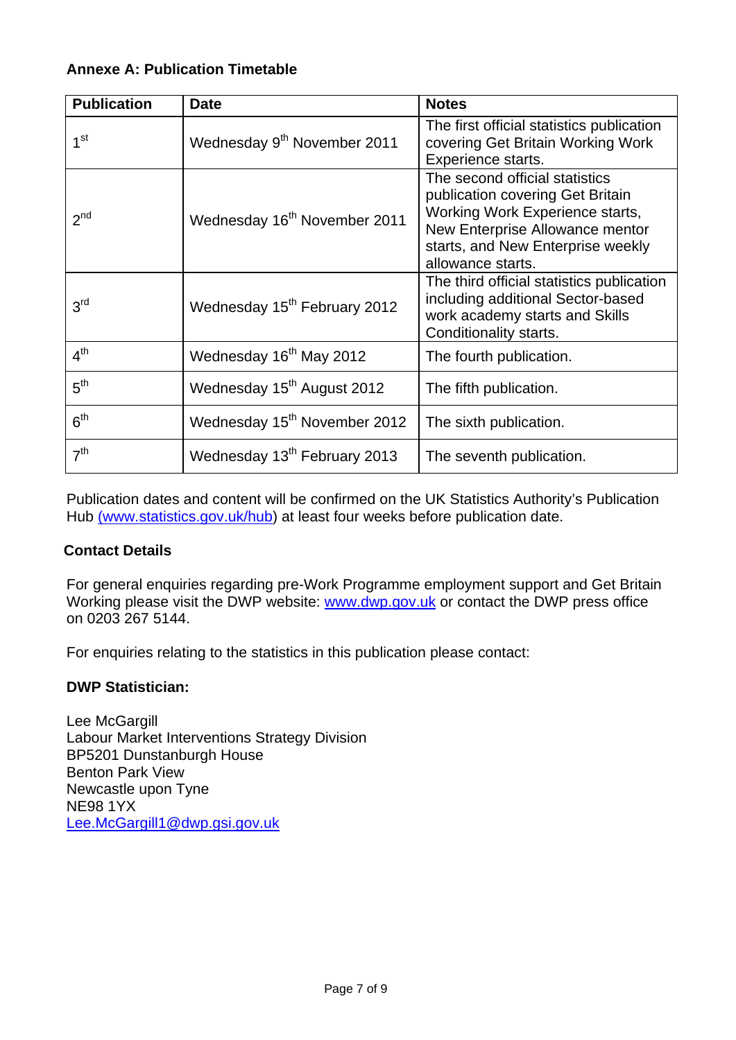# **Annexe A: Publication Timetable**

| <b>Publication</b> | <b>Date</b>                              | <b>Notes</b>                                                                                                                                                                                       |
|--------------------|------------------------------------------|----------------------------------------------------------------------------------------------------------------------------------------------------------------------------------------------------|
| 1 <sup>st</sup>    | Wednesday 9 <sup>th</sup> November 2011  | The first official statistics publication<br>covering Get Britain Working Work<br>Experience starts.                                                                                               |
| 2 <sup>nd</sup>    | Wednesday 16 <sup>th</sup> November 2011 | The second official statistics<br>publication covering Get Britain<br>Working Work Experience starts,<br>New Enterprise Allowance mentor<br>starts, and New Enterprise weekly<br>allowance starts. |
| 3 <sup>rd</sup>    | Wednesday 15 <sup>th</sup> February 2012 | The third official statistics publication<br>including additional Sector-based<br>work academy starts and Skills<br>Conditionality starts.                                                         |
| 4 <sup>th</sup>    | Wednesday 16 <sup>th</sup> May 2012      | The fourth publication.                                                                                                                                                                            |
| 5 <sup>th</sup>    | Wednesday 15 <sup>th</sup> August 2012   | The fifth publication.                                                                                                                                                                             |
| 6 <sup>th</sup>    | Wednesday 15 <sup>th</sup> November 2012 | The sixth publication.                                                                                                                                                                             |
| 7 <sup>th</sup>    | Wednesday 13 <sup>th</sup> February 2013 | The seventh publication.                                                                                                                                                                           |

Publication dates and content will be confirmed on the UK Statistics Authority's Publication Hub (www.statistics.gov.uk/hub) at least four weeks before publication date.

# **Contact Details**

For general enquiries regarding pre-Work Programme employment support and Get Britain Working please visit the DWP website: www.dwp.gov.uk or contact the DWP press office on 0203 267 5144.

For enquiries relating to the statistics in this publication please contact:

# **DWP Statistician:**

Lee McGargill Labour Market Interventions Strategy Division BP5201 Dunstanburgh House Benton Park View Newcastle upon Tyne NE98 1YX Lee.McGargill1@dwp.gsi.gov.uk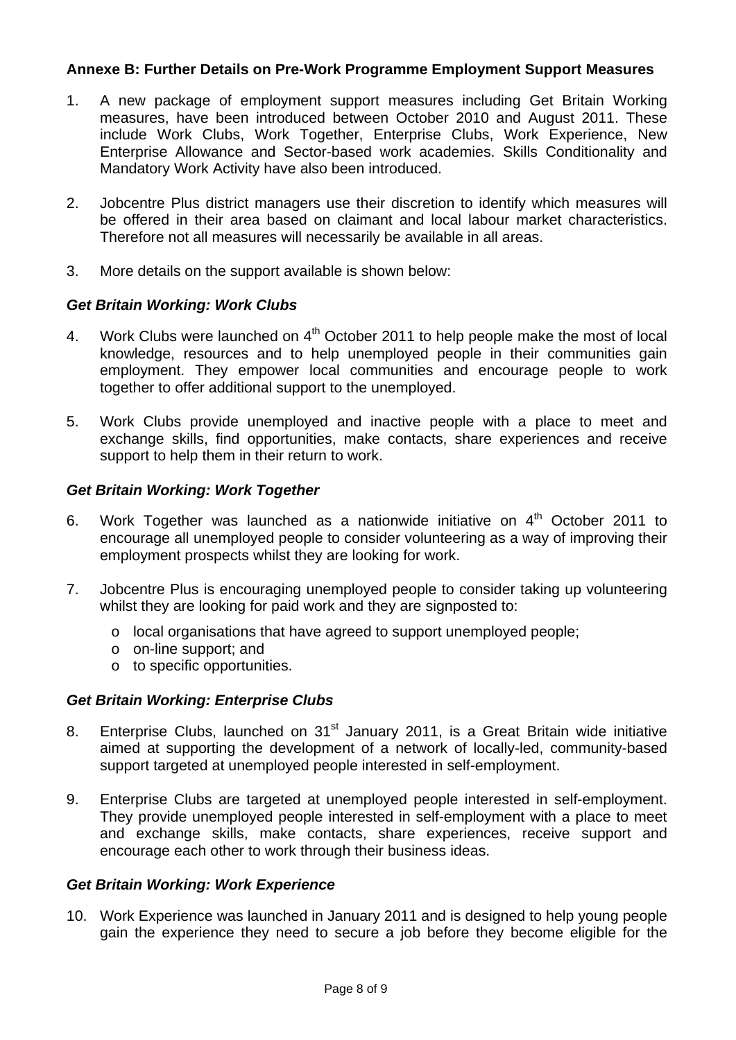# **Annexe B: Further Details on Pre-Work Programme Employment Support Measures**

- 1. A new package of employment support measures including Get Britain Working measures, have been introduced between October 2010 and August 2011. These include Work Clubs, Work Together, Enterprise Clubs, Work Experience, New Enterprise Allowance and Sector-based work academies. Skills Conditionality and Mandatory Work Activity have also been introduced.
- 2. Jobcentre Plus district managers use their discretion to identify which measures will be offered in their area based on claimant and local labour market characteristics. Therefore not all measures will necessarily be available in all areas.
- 3. More details on the support available is shown below:

# *Get Britain Working: Work Clubs*

- 4. Work Clubs were launched on  $4<sup>th</sup>$  October 2011 to help people make the most of local knowledge, resources and to help unemployed people in their communities gain employment. They empower local communities and encourage people to work together to offer additional support to the unemployed.
- 5. Work Clubs provide unemployed and inactive people with a place to meet and exchange skills, find opportunities, make contacts, share experiences and receive support to help them in their return to work.

# *Get Britain Working: Work Together*

- 6. Work Together was launched as a nationwide initiative on  $4<sup>th</sup>$  October 2011 to encourage all unemployed people to consider volunteering as a way of improving their employment prospects whilst they are looking for work.
- 7. Jobcentre Plus is encouraging unemployed people to consider taking up volunteering whilst they are looking for paid work and they are signposted to:
	- o local organisations that have agreed to support unemployed people;
	- o on-line support; and
	- o to specific opportunities.

## *Get Britain Working: Enterprise Clubs*

- 8. Enterprise Clubs, launched on 31<sup>st</sup> January 2011, is a Great Britain wide initiative aimed at supporting the development of a network of locally-led, community-based support targeted at unemployed people interested in self-employment.
- 9. Enterprise Clubs are targeted at unemployed people interested in self-employment. They provide unemployed people interested in self-employment with a place to meet and exchange skills, make contacts, share experiences, receive support and encourage each other to work through their business ideas.

## *Get Britain Working: Work Experience*

10. Work Experience was launched in January 2011 and is designed to help young people gain the experience they need to secure a job before they become eligible for the